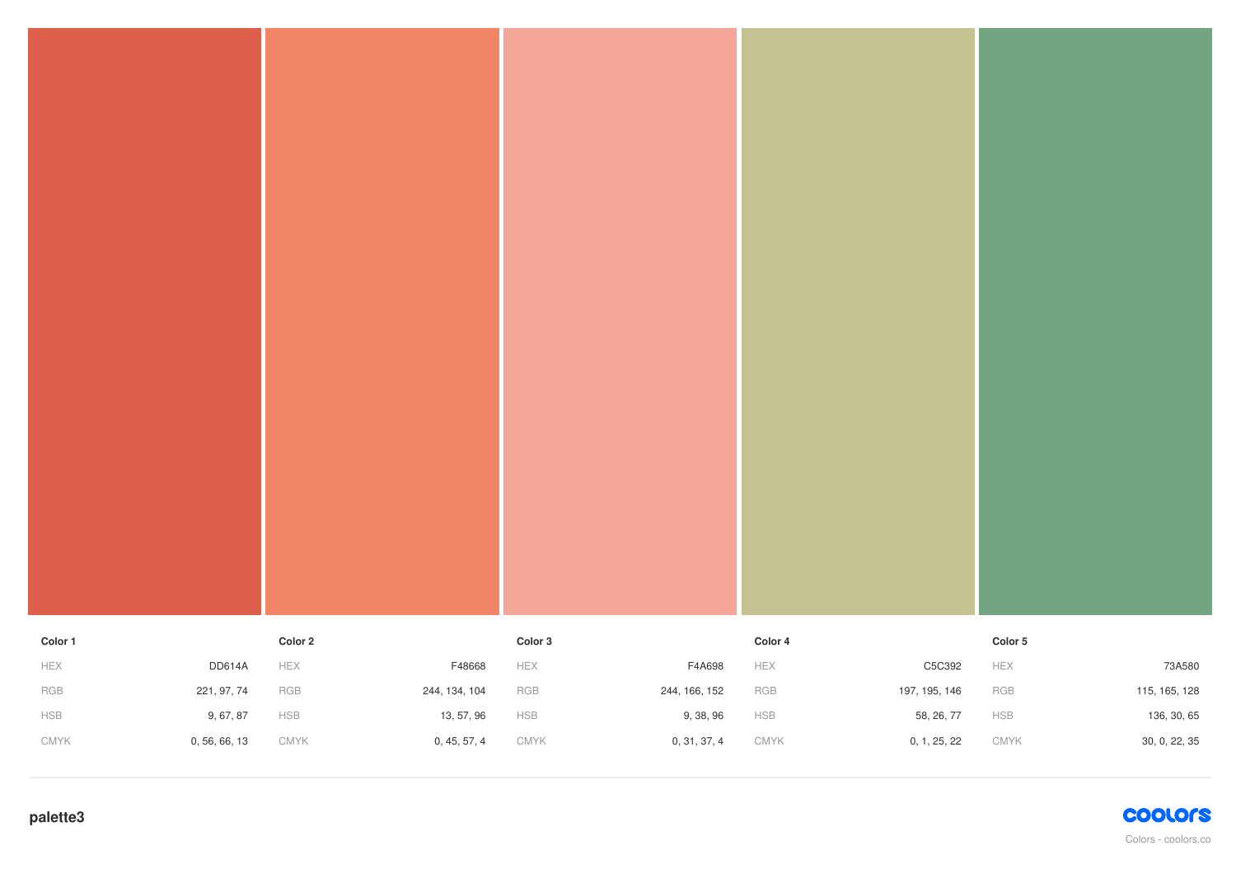| Color 1         |               | Color 2                   | Color 3     |               | Color 4     |               | Color 5         |               |
|-----------------|---------------|---------------------------|-------------|---------------|-------------|---------------|-----------------|---------------|
| ${\sf HEX}$     | <b>DD614A</b> | HEX<br>F48668             | HEX         | F4A698        | HEX         | C5C392        | ${\sf HEX}$     | 73A580        |
| $_{\rm RGB}$    | 221, 97, 74   | RGB<br>244, 134, 104      | ${\sf RGB}$ | 244, 166, 152 | RGB         | 197, 195, 146 | ${\sf RGB}$     | 115, 165, 128 |
| ${\sf HSB}$     | 9, 67, 87     | ${\sf HSB}$<br>13, 57, 96 | ${\sf HSB}$ | 9, 38, 96     | ${\sf HSB}$ | 58, 26, 77    | ${\sf HSB}$     | 136, 30, 65   |
| $\mathsf{CMYK}$ | 0, 56, 66, 13 | CMYK<br>0, 45, 57, 4      | CMYK        | 0, 31, 37, 4  | CMYK        | 0, 1, 25, 22  | $\mathsf{CMYK}$ | 30, 0, 22, 35 |

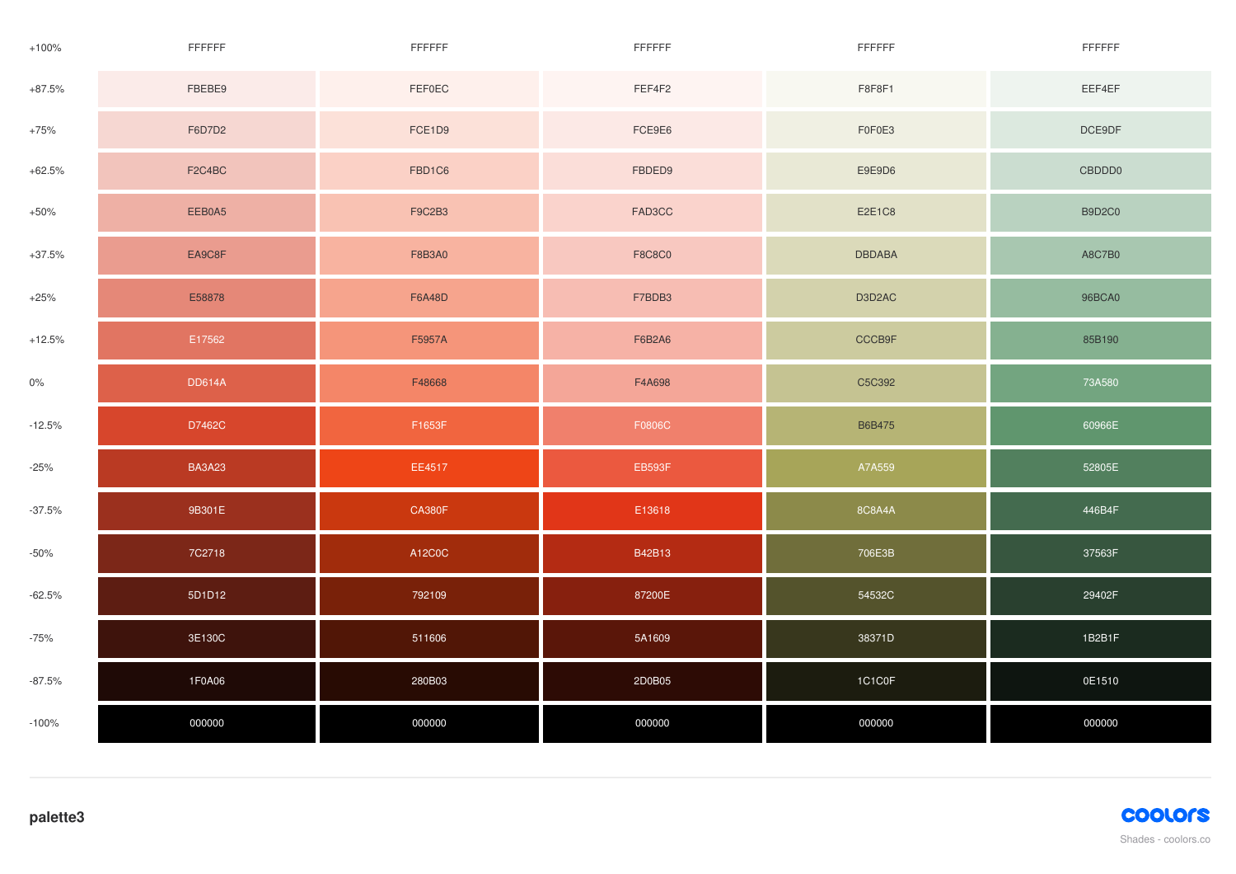| $+100%$  | FFFFFF        | FFFFFF        | FFFFFF        | FFFFFF        | FFFFFF        |
|----------|---------------|---------------|---------------|---------------|---------------|
| $+87.5%$ | FBEBE9        | FEF0EC        | FEF4F2        | F8F8F1        | EEF4EF        |
| $+75%$   | F6D7D2        | FCE1D9        | FCE9E6        | F0F0E3        | DCE9DF        |
| $+62.5%$ | F2C4BC        | FBD1C6        | FBDED9        | E9E9D6        | CBDDD0        |
| $+50%$   | EEB0A5        | <b>F9C2B3</b> | FAD3CC        | E2E1C8        | <b>B9D2C0</b> |
| $+37.5%$ | EA9C8F        | F8B3A0        | <b>F8C8C0</b> | <b>DBDABA</b> | A8C7B0        |
| $+25%$   | E58878        | <b>F6A48D</b> | F7BDB3        | D3D2AC        | 96BCA0        |
| $+12.5%$ | E17562        | F5957A        | F6B2A6        | CCCB9F        | 85B190        |
| $0\%$    | <b>DD614A</b> | F48668        | F4A698        | C5C392        | 73A580        |
| $-12.5%$ | D7462C        | F1653F        | F0806C        | <b>B6B475</b> | 60966E        |
| $-25%$   | <b>BA3A23</b> | EE4517        | <b>EB593F</b> | A7A559        | 52805E        |
| $-37.5%$ | 9B301E        | <b>CA380F</b> | E13618        | 8C8A4A        | 446B4F        |
| $-50%$   | 7C2718        | A12C0C        | B42B13        | 706E3B        | 37563F        |
| $-62.5%$ | 5D1D12        | 792109        | 87200E        | 54532C        | 29402F        |
| $-75%$   | 3E130C        | 511606        | 5A1609        | 38371D        | 1B2B1F        |
| $-87.5%$ | 1F0A06        | 280B03        | 2D0B05        | 1C1C0F        | 0E1510        |
| $-100%$  | 000000        | 000000        | 000000        | 000000        | 000000        |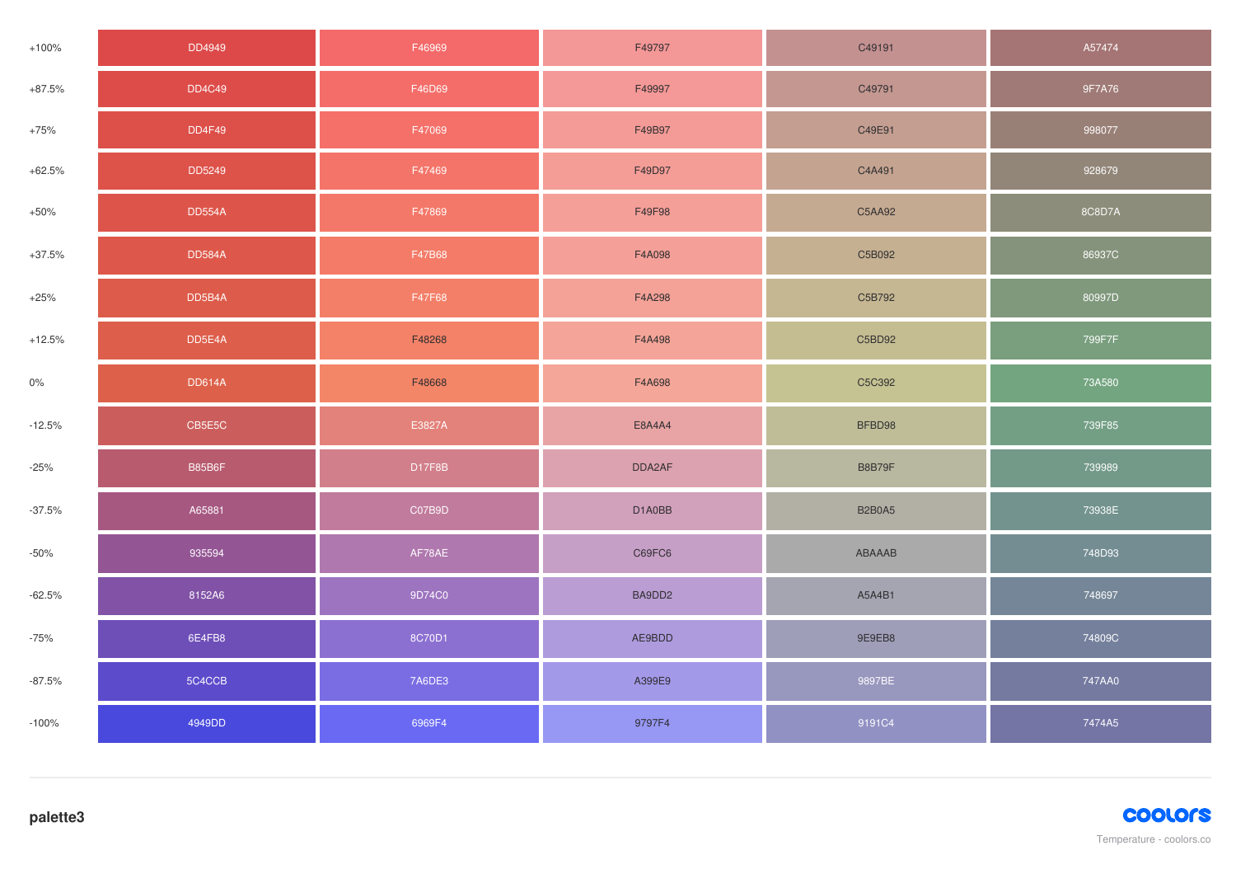| $+100%$  | DD4949        | F46969 | F49797 | C49191        | A57474 |
|----------|---------------|--------|--------|---------------|--------|
| $+87.5%$ | <b>DD4C49</b> | F46D69 | F49997 | C49791        | 9F7A76 |
| $+75%$   | <b>DD4F49</b> | F47069 | F49B97 | C49E91        | 998077 |
| $+62.5%$ | DD5249        | F47469 | F49D97 | C4A491        | 928679 |
| $+50%$   | <b>DD554A</b> | F47869 | F49F98 | C5AA92        | 8C8D7A |
| $+37.5%$ | <b>DD584A</b> | F47B68 | F4A098 | C5B092        | 86937C |
| $+25%$   | DD5B4A        | F47F68 | F4A298 | C5B792        | 80997D |
| $+12.5%$ | DD5E4A        | F48268 | F4A498 | C5BD92        | 799F7F |
| $0\%$    | <b>DD614A</b> | F48668 | F4A698 | C5C392        | 73A580 |
| $-12.5%$ | CB5E5C        | E3827A | E8A4A4 | BFBD98        | 739F85 |
| $-25%$   | B85B6F        | D17F8B | DDA2AF | B8B79F        | 739989 |
| $-37.5%$ | A65881        | C07B9D | D1A0BB | <b>B2B0A5</b> | 73938E |
| $-50%$   | 935594        | AF78AE | C69FC6 | ABAAAB        | 748D93 |
| $-62.5%$ | 8152A6        | 9D74C0 | BA9DD2 | A5A4B1        | 748697 |
| $-75%$   | 6E4FB8        | 8C70D1 | AE9BDD | 9E9EB8        | 74809C |
| $-87.5%$ | 5C4CCB        | 7A6DE3 | A399E9 | 9897BE        | 747AA0 |
| $-100%$  | 4949DD        | 6969F4 | 9797F4 | 9191C4        | 7474A5 |